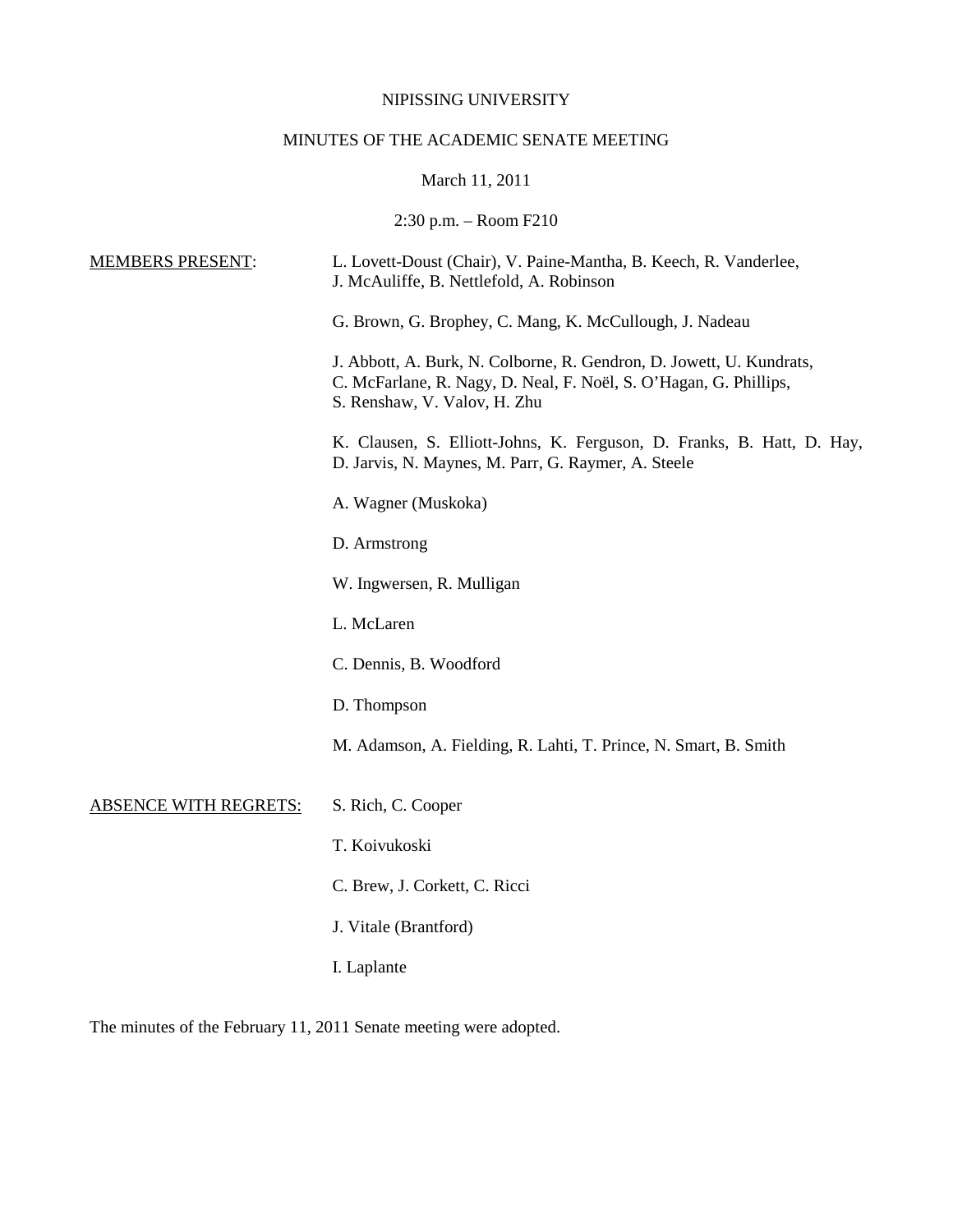# NIPISSING UNIVERSITY

# MINUTES OF THE ACADEMIC SENATE MEETING

# March 11, 2011

2:30 p.m. – Room F210

| <b>MEMBERS PRESENT:</b>      | L. Lovett-Doust (Chair), V. Paine-Mantha, B. Keech, R. Vanderlee,<br>J. McAuliffe, B. Nettlefold, A. Robinson                                                             |
|------------------------------|---------------------------------------------------------------------------------------------------------------------------------------------------------------------------|
|                              | G. Brown, G. Brophey, C. Mang, K. McCullough, J. Nadeau                                                                                                                   |
|                              | J. Abbott, A. Burk, N. Colborne, R. Gendron, D. Jowett, U. Kundrats,<br>C. McFarlane, R. Nagy, D. Neal, F. Noël, S. O'Hagan, G. Phillips,<br>S. Renshaw, V. Valov, H. Zhu |
|                              | K. Clausen, S. Elliott-Johns, K. Ferguson, D. Franks, B. Hatt, D. Hay,<br>D. Jarvis, N. Maynes, M. Parr, G. Raymer, A. Steele                                             |
|                              | A. Wagner (Muskoka)                                                                                                                                                       |
|                              | D. Armstrong                                                                                                                                                              |
|                              | W. Ingwersen, R. Mulligan                                                                                                                                                 |
|                              | L. McLaren                                                                                                                                                                |
|                              | C. Dennis, B. Woodford                                                                                                                                                    |
|                              | D. Thompson                                                                                                                                                               |
|                              | M. Adamson, A. Fielding, R. Lahti, T. Prince, N. Smart, B. Smith                                                                                                          |
| <b>ABSENCE WITH REGRETS:</b> | S. Rich, C. Cooper                                                                                                                                                        |
|                              | T. Koivukoski                                                                                                                                                             |
|                              | C. Brew, J. Corkett, C. Ricci                                                                                                                                             |
|                              | J. Vitale (Brantford)                                                                                                                                                     |
|                              | I. Laplante                                                                                                                                                               |

The minutes of the February 11, 2011 Senate meeting were adopted.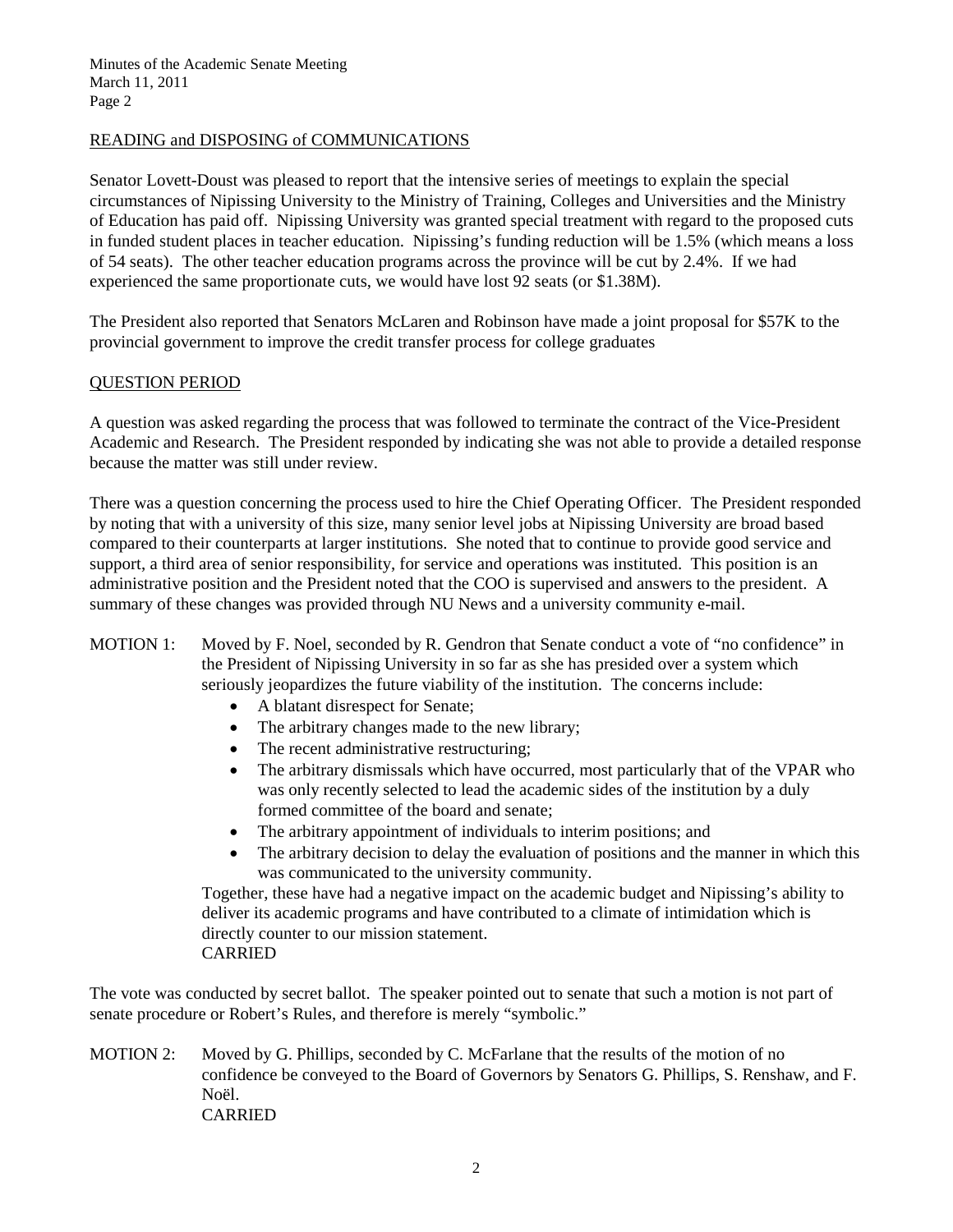# READING and DISPOSING of COMMUNICATIONS

Senator Lovett-Doust was pleased to report that the intensive series of meetings to explain the special circumstances of Nipissing University to the Ministry of Training, Colleges and Universities and the Ministry of Education has paid off. Nipissing University was granted special treatment with regard to the proposed cuts in funded student places in teacher education. Nipissing's funding reduction will be 1.5% (which means a loss of 54 seats). The other teacher education programs across the province will be cut by 2.4%. If we had experienced the same proportionate cuts, we would have lost 92 seats (or \$1.38M).

The President also reported that Senators McLaren and Robinson have made a joint proposal for \$57K to the provincial government to improve the credit transfer process for college graduates

# QUESTION PERIOD

A question was asked regarding the process that was followed to terminate the contract of the Vice-President Academic and Research. The President responded by indicating she was not able to provide a detailed response because the matter was still under review.

There was a question concerning the process used to hire the Chief Operating Officer. The President responded by noting that with a university of this size, many senior level jobs at Nipissing University are broad based compared to their counterparts at larger institutions. She noted that to continue to provide good service and support, a third area of senior responsibility, for service and operations was instituted. This position is an administrative position and the President noted that the COO is supervised and answers to the president. A summary of these changes was provided through NU News and a university community e-mail.

# MOTION 1: Moved by F. Noel, seconded by R. Gendron that Senate conduct a vote of "no confidence" in the President of Nipissing University in so far as she has presided over a system which seriously jeopardizes the future viability of the institution. The concerns include:

- A blatant disrespect for Senate;
- The arbitrary changes made to the new library;
- The recent administrative restructuring;
- The arbitrary dismissals which have occurred, most particularly that of the VPAR who was only recently selected to lead the academic sides of the institution by a duly formed committee of the board and senate;
- The arbitrary appointment of individuals to interim positions; and
- The arbitrary decision to delay the evaluation of positions and the manner in which this was communicated to the university community.

Together, these have had a negative impact on the academic budget and Nipissing's ability to deliver its academic programs and have contributed to a climate of intimidation which is directly counter to our mission statement. CARRIED

The vote was conducted by secret ballot. The speaker pointed out to senate that such a motion is not part of senate procedure or Robert's Rules, and therefore is merely "symbolic."

MOTION 2: Moved by G. Phillips, seconded by C. McFarlane that the results of the motion of no confidence be conveyed to the Board of Governors by Senators G. Phillips, S. Renshaw, and F. Noël. CARRIED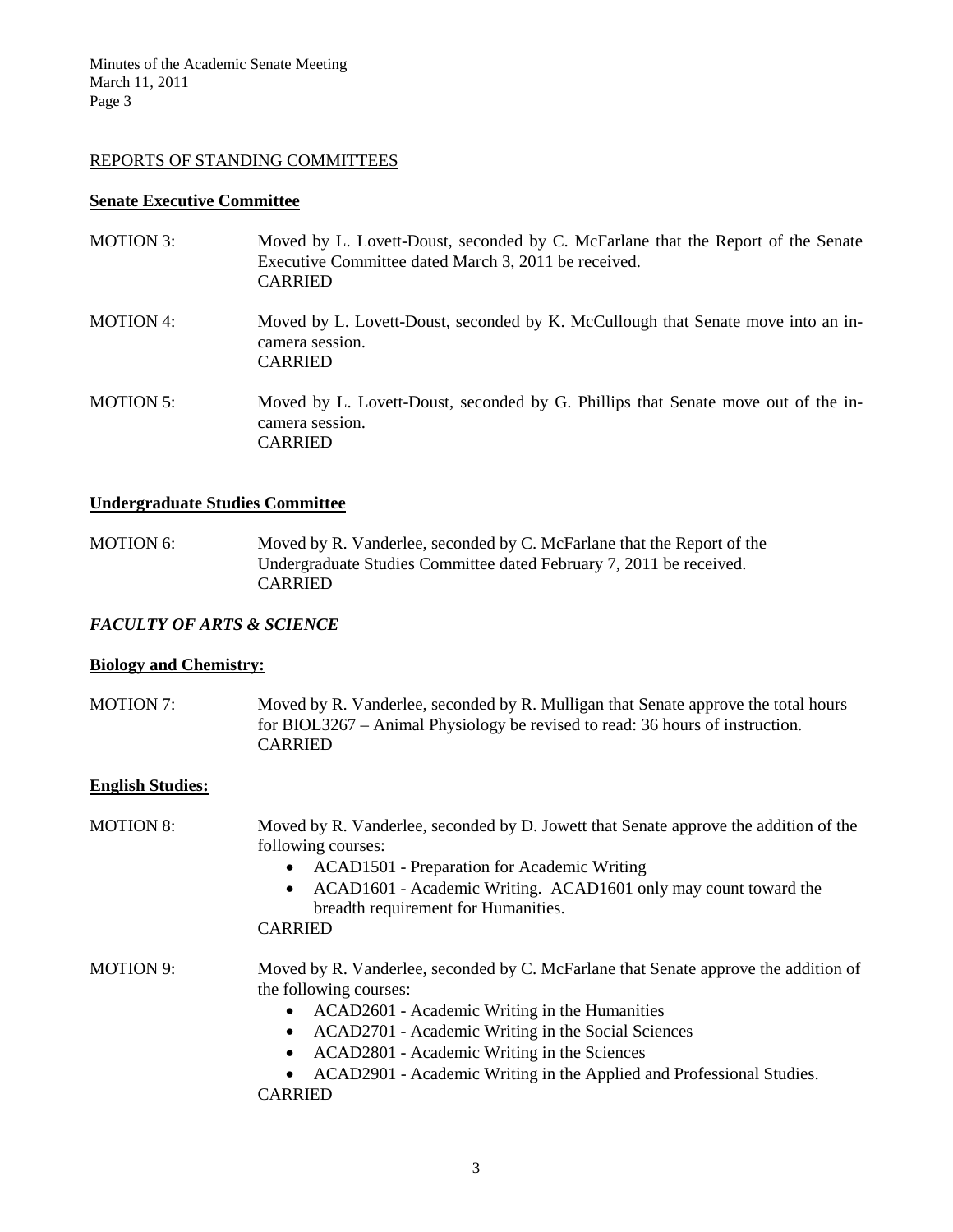### REPORTS OF STANDING COMMITTEES

### **Senate Executive Committee**

| <b>MOTION 3:</b> | Moved by L. Lovett-Doust, seconded by C. McFarlane that the Report of the Senate<br>Executive Committee dated March 3, 2011 be received.<br><b>CARRIED</b> |
|------------------|------------------------------------------------------------------------------------------------------------------------------------------------------------|
| <b>MOTION 4:</b> | Moved by L. Lovett-Doust, seconded by K. McCullough that Senate move into an in-<br>camera session.<br><b>CARRIED</b>                                      |
| <b>MOTION 5:</b> | Moved by L. Lovett-Doust, seconded by G. Phillips that Senate move out of the in-<br>camera session.<br><b>CARRIED</b>                                     |

### **Undergraduate Studies Committee**

MOTION 6: Moved by R. Vanderlee, seconded by C. McFarlane that the Report of the Undergraduate Studies Committee dated February 7, 2011 be received. CARRIED

# *FACULTY OF ARTS & SCIENCE*

#### **Biology and Chemistry:**

MOTION 7: Moved by R. Vanderlee, seconded by R. Mulligan that Senate approve the total hours for BIOL3267 – Animal Physiology be revised to read: 36 hours of instruction. CARRIED

#### **English Studies:**

- MOTION 8: Moved by R. Vanderlee, seconded by D. Jowett that Senate approve the addition of the following courses:
	- ACAD1501 Preparation for Academic Writing
	- ACAD1601 Academic Writing. ACAD1601 only may count toward the breadth requirement for Humanities.

CARRIED

- MOTION 9: Moved by R. Vanderlee, seconded by C. McFarlane that Senate approve the addition of the following courses:
	- ACAD2601 Academic Writing in the Humanities
	- ACAD2701 Academic Writing in the Social Sciences
	- ACAD2801 Academic Writing in the Sciences
	- ACAD2901 Academic Writing in the Applied and Professional Studies.
	- CARRIED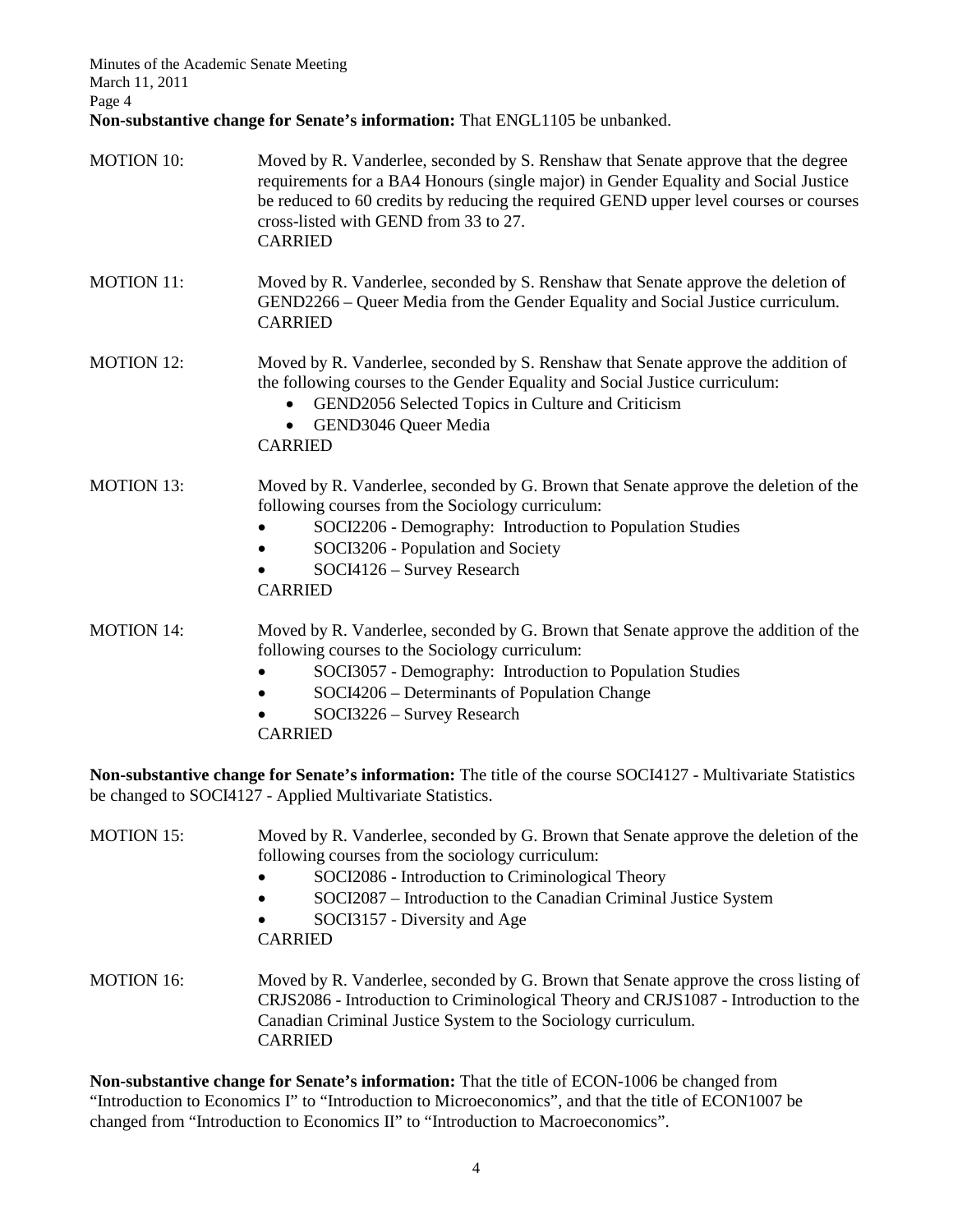Minutes of the Academic Senate Meeting March 11, 2011 Page 4 **Non-substantive change for Senate's information:** That ENGL1105 be unbanked.

| <b>MOTION 10:</b> | Moved by R. Vanderlee, seconded by S. Renshaw that Senate approve that the degree<br>requirements for a BA4 Honours (single major) in Gender Equality and Social Justice<br>be reduced to 60 credits by reducing the required GEND upper level courses or courses<br>cross-listed with GEND from 33 to 27.<br><b>CARRIED</b> |
|-------------------|------------------------------------------------------------------------------------------------------------------------------------------------------------------------------------------------------------------------------------------------------------------------------------------------------------------------------|
| <b>MOTION 11:</b> | Moved by R. Vanderlee, seconded by S. Renshaw that Senate approve the deletion of<br>GEND2266 – Queer Media from the Gender Equality and Social Justice curriculum.<br><b>CARRIED</b>                                                                                                                                        |
| <b>MOTION 12:</b> | Moved by R. Vanderlee, seconded by S. Renshaw that Senate approve the addition of<br>the following courses to the Gender Equality and Social Justice curriculum:<br>GEND2056 Selected Topics in Culture and Criticism<br>$\bullet$<br>GEND3046 Queer Media<br><b>CARRIED</b>                                                 |
| <b>MOTION 13:</b> | Moved by R. Vanderlee, seconded by G. Brown that Senate approve the deletion of the<br>following courses from the Sociology curriculum:<br>SOCI2206 - Demography: Introduction to Population Studies<br>SOCI3206 - Population and Society<br>SOCI4126 - Survey Research<br><b>CARRIED</b>                                    |
| <b>MOTION 14:</b> | Moved by R. Vanderlee, seconded by G. Brown that Senate approve the addition of the<br>following courses to the Sociology curriculum:<br>SOCI3057 - Demography: Introduction to Population Studies<br>SOCI4206 - Determinants of Population Change<br>SOCI3226 - Survey Research<br><b>CARRIED</b>                           |

**Non-substantive change for Senate's information:** The title of the course SOCI4127 - Multivariate Statistics be changed to SOCI4127 - Applied Multivariate Statistics.

| <b>MOTION 15:</b> | Moved by R. Vanderlee, seconded by G. Brown that Senate approve the deletion of the<br>following courses from the sociology curriculum:<br>SOCI2086 - Introduction to Criminological Theory<br>$\bullet$                                                       |
|-------------------|----------------------------------------------------------------------------------------------------------------------------------------------------------------------------------------------------------------------------------------------------------------|
|                   | SOCI2087 – Introduction to the Canadian Criminal Justice System<br>$\bullet$                                                                                                                                                                                   |
|                   | SOCI3157 - Diversity and Age<br>$\bullet$                                                                                                                                                                                                                      |
|                   | <b>CARRIED</b>                                                                                                                                                                                                                                                 |
| <b>MOTION 16:</b> | Moved by R. Vanderlee, seconded by G. Brown that Senate approve the cross listing of<br>CRJS2086 - Introduction to Criminological Theory and CRJS1087 - Introduction to the<br>Canadian Criminal Justice System to the Sociology curriculum.<br><b>CARRIED</b> |

**Non-substantive change for Senate's information:** That the title of ECON-1006 be changed from "Introduction to Economics I" to "Introduction to Microeconomics", and that the title of ECON1007 be changed from "Introduction to Economics II" to "Introduction to Macroeconomics".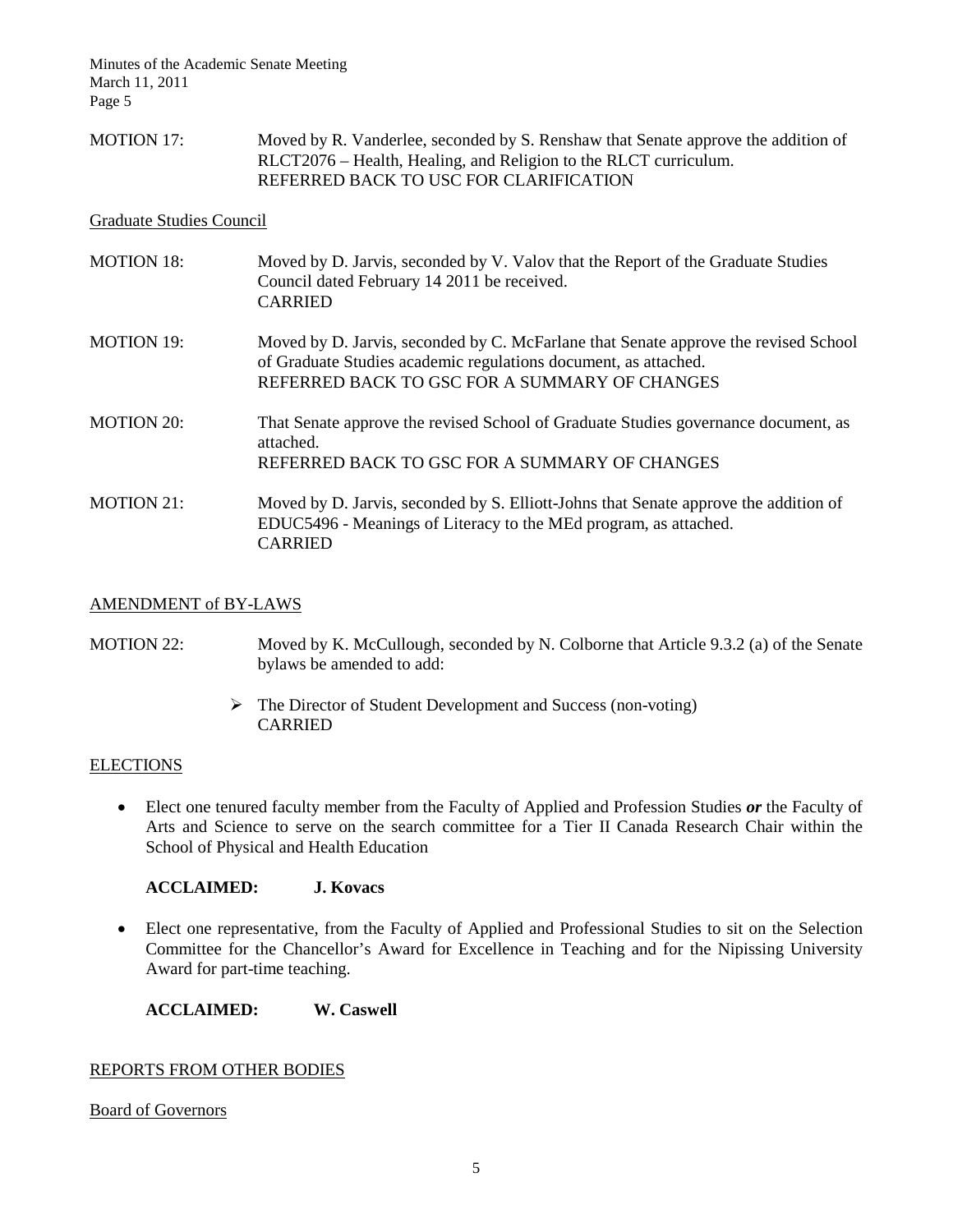MOTION 17: Moved by R. Vanderlee, seconded by S. Renshaw that Senate approve the addition of RLCT2076 – Health, Healing, and Religion to the RLCT curriculum. REFERRED BACK TO USC FOR CLARIFICATION

### Graduate Studies Council

| <b>MOTION 18:</b> | Moved by D. Jarvis, seconded by V. Valov that the Report of the Graduate Studies<br>Council dated February 14 2011 be received.<br><b>CARRIED</b>                                                       |
|-------------------|---------------------------------------------------------------------------------------------------------------------------------------------------------------------------------------------------------|
| <b>MOTION 19:</b> | Moved by D. Jarvis, seconded by C. McFarlane that Senate approve the revised School<br>of Graduate Studies academic regulations document, as attached.<br>REFERRED BACK TO GSC FOR A SUMMARY OF CHANGES |
| <b>MOTION 20:</b> | That Senate approve the revised School of Graduate Studies governance document, as<br>attached.<br>REFERRED BACK TO GSC FOR A SUMMARY OF CHANGES                                                        |
| <b>MOTION 21:</b> | Moved by D. Jarvis, seconded by S. Elliott-Johns that Senate approve the addition of<br>EDUC5496 - Meanings of Literacy to the MEd program, as attached.<br><b>CARRIED</b>                              |

### AMENDMENT of BY-LAWS

# MOTION 22: Moved by K. McCullough, seconded by N. Colborne that Article 9.3.2 (a) of the Senate bylaws be amended to add:

 $\triangleright$  The Director of Student Development and Success (non-voting) CARRIED

#### **ELECTIONS**

• Elect one tenured faculty member from the Faculty of Applied and Profession Studies *or* the Faculty of Arts and Science to serve on the search committee for a Tier II Canada Research Chair within the School of Physical and Health Education

#### **ACCLAIMED: J. Kovacs**

• Elect one representative, from the Faculty of Applied and Professional Studies to sit on the Selection Committee for the Chancellor's Award for Excellence in Teaching and for the Nipissing University Award for part-time teaching.

**ACCLAIMED: W. Caswell**

### REPORTS FROM OTHER BODIES

#### Board of Governors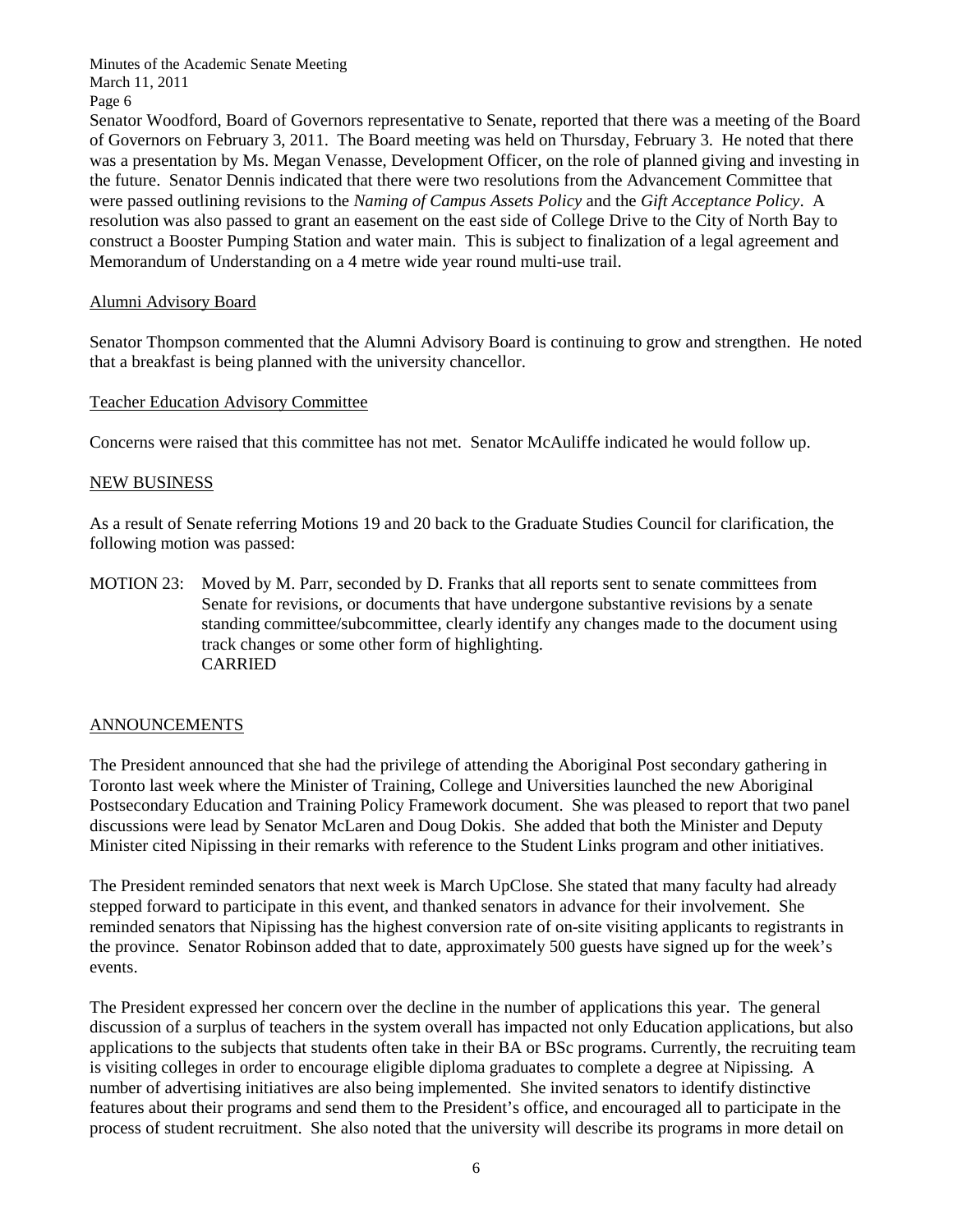Senator Woodford, Board of Governors representative to Senate, reported that there was a meeting of the Board of Governors on February 3, 2011. The Board meeting was held on Thursday, February 3. He noted that there was a presentation by Ms. Megan Venasse, Development Officer, on the role of planned giving and investing in the future. Senator Dennis indicated that there were two resolutions from the Advancement Committee that were passed outlining revisions to the *Naming of Campus Assets Policy* and the *Gift Acceptance Policy*. A resolution was also passed to grant an easement on the east side of College Drive to the City of North Bay to construct a Booster Pumping Station and water main. This is subject to finalization of a legal agreement and Memorandum of Understanding on a 4 metre wide year round multi-use trail.

# Alumni Advisory Board

Senator Thompson commented that the Alumni Advisory Board is continuing to grow and strengthen. He noted that a breakfast is being planned with the university chancellor.

# Teacher Education Advisory Committee

Concerns were raised that this committee has not met. Senator McAuliffe indicated he would follow up.

# NEW BUSINESS

As a result of Senate referring Motions 19 and 20 back to the Graduate Studies Council for clarification, the following motion was passed:

MOTION 23: Moved by M. Parr, seconded by D. Franks that all reports sent to senate committees from Senate for revisions, or documents that have undergone substantive revisions by a senate standing committee/subcommittee, clearly identify any changes made to the document using track changes or some other form of highlighting. CARRIED

# **ANNOUNCEMENTS**

The President announced that she had the privilege of attending the Aboriginal Post secondary gathering in Toronto last week where the Minister of Training, College and Universities launched the new Aboriginal Postsecondary Education and Training Policy Framework document. She was pleased to report that two panel discussions were lead by Senator McLaren and Doug Dokis. She added that both the Minister and Deputy Minister cited Nipissing in their remarks with reference to the Student Links program and other initiatives.

The President reminded senators that next week is March UpClose. She stated that many faculty had already stepped forward to participate in this event, and thanked senators in advance for their involvement. She reminded senators that Nipissing has the highest conversion rate of on-site visiting applicants to registrants in the province. Senator Robinson added that to date, approximately 500 guests have signed up for the week's events.

The President expressed her concern over the decline in the number of applications this year. The general discussion of a surplus of teachers in the system overall has impacted not only Education applications, but also applications to the subjects that students often take in their BA or BSc programs. Currently, the recruiting team is visiting colleges in order to encourage eligible diploma graduates to complete a degree at Nipissing. A number of advertising initiatives are also being implemented. She invited senators to identify distinctive features about their programs and send them to the President's office, and encouraged all to participate in the process of student recruitment. She also noted that the university will describe its programs in more detail on